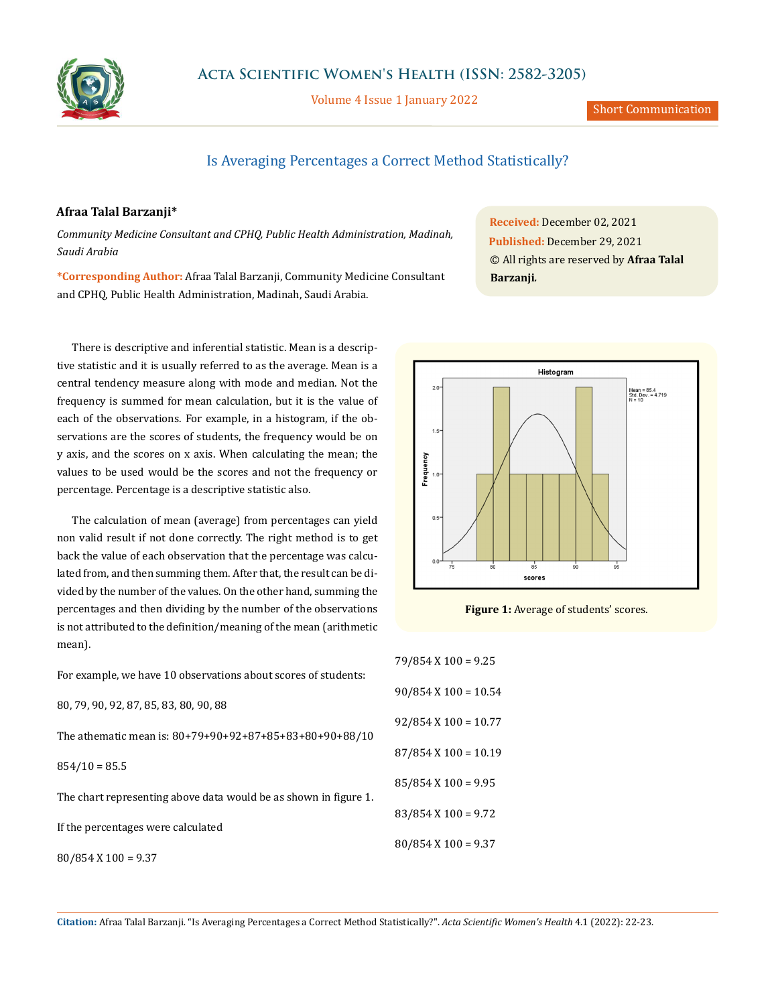

Volume 4 Issue 1 January 2022

## Is Averaging Percentages a Correct Method Statistically?

## **Afraa Talal Barzanji\***

*Community Medicine Consultant and CPHQ, Public Health Administration, Madinah, Saudi Arabia*

**\*Corresponding Author:** Afraa Talal Barzanji, Community Medicine Consultant and CPHQ, Public Health Administration, Madinah, Saudi Arabia.

There is descriptive and inferential statistic. Mean is a descriptive statistic and it is usually referred to as the average. Mean is a central tendency measure along with mode and median. Not the frequency is summed for mean calculation, but it is the value of each of the observations. For example, in a histogram, if the observations are the scores of students, the frequency would be on y axis, and the scores on x axis. When calculating the mean; the values to be used would be the scores and not the frequency or percentage. Percentage is a descriptive statistic also.

The calculation of mean (average) from percentages can yield non valid result if not done correctly. The right method is to get back the value of each observation that the percentage was calculated from, and then summing them. After that, the result can be divided by the number of the values. On the other hand, summing the percentages and then dividing by the number of the observations is not attributed to the definition/meaning of the mean (arithmetic mean).

For example, we have 10 observations about scores of students:

80, 79, 90, 92, 87, 85, 83, 80, 90, 88

The athematic mean is: 80+79+90+92+87+85+83+80+90+88/10

 $854/10 = 85.5$ 

The chart representing above data would be as shown in figure 1.

If the percentages were calculated

80/854 X 100 = 9.37

**Received:** December 02, 2021 **Published:** December 29, 2021 © All rights are reserved by **Afraa Talal Barzanji***.*



**Figure 1:** Average of students' scores.

| $79/854$ X $100 = 9.25$  |
|--------------------------|
| $90/854$ X $100 = 10.54$ |
| $92/854$ X $100 = 10.77$ |
| $87/854$ X $100 = 10.19$ |
| $85/854$ X 100 = 9.95    |
| $83/854$ X $100 = 9.72$  |
| $80/854$ X $100 = 9.37$  |